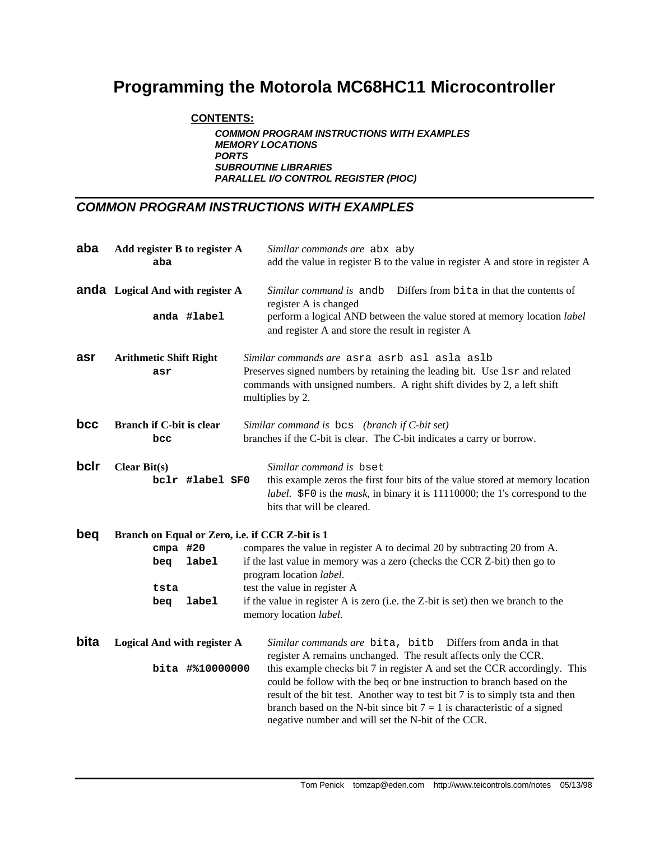# **Programming the Motorola MC68HC11 Microcontroller**

#### **CONTENTS:**

*COMMON PROGRAM INSTRUCTIONS WITH EXAMPLES MEMORY LOCATIONS PORTS SUBROUTINE LIBRARIES PARALLEL I/O CONTROL REGISTER (PIOC)*

### *COMMON PROGRAM INSTRUCTIONS WITH EXAMPLES*

| aba  | Add register B to register A<br>aba             | Similar commands are abx aby<br>add the value in register B to the value in register A and store in register A                                                                                                                                                                                                                                                         |  |  |  |  |
|------|-------------------------------------------------|------------------------------------------------------------------------------------------------------------------------------------------------------------------------------------------------------------------------------------------------------------------------------------------------------------------------------------------------------------------------|--|--|--|--|
|      | <b>anda</b> Logical And with register A         | Differs from bita in that the contents of<br>Similar command is andb<br>register A is changed                                                                                                                                                                                                                                                                          |  |  |  |  |
|      | anda #label                                     | perform a logical AND between the value stored at memory location label<br>and register A and store the result in register A                                                                                                                                                                                                                                           |  |  |  |  |
| asr  | <b>Arithmetic Shift Right</b>                   | Similar commands are asra asrb asl asla aslb                                                                                                                                                                                                                                                                                                                           |  |  |  |  |
|      | asr                                             | Preserves signed numbers by retaining the leading bit. Use 1sr and related<br>commands with unsigned numbers. A right shift divides by 2, a left shift<br>multiplies by 2.                                                                                                                                                                                             |  |  |  |  |
| bcc  | <b>Branch if C-bit is clear</b><br>bcc          | Similar command is bes (branch if C-bit set)<br>branches if the C-bit is clear. The C-bit indicates a carry or borrow.                                                                                                                                                                                                                                                 |  |  |  |  |
| bclr | <b>Clear Bit(s)</b>                             | Similar command is bset                                                                                                                                                                                                                                                                                                                                                |  |  |  |  |
|      | bclr #label \$F0                                | this example zeros the first four bits of the value stored at memory location<br>label. \$F0 is the <i>mask</i> , in binary it is 11110000; the 1's correspond to the<br>bits that will be cleared.                                                                                                                                                                    |  |  |  |  |
| beq  | Branch on Equal or Zero, i.e. if CCR Z-bit is 1 |                                                                                                                                                                                                                                                                                                                                                                        |  |  |  |  |
|      | $cmpa$ #20                                      | compares the value in register A to decimal 20 by subtracting 20 from A.                                                                                                                                                                                                                                                                                               |  |  |  |  |
|      | label<br>bea                                    | if the last value in memory was a zero (checks the CCR Z-bit) then go to<br>program location label.                                                                                                                                                                                                                                                                    |  |  |  |  |
|      | tsta                                            | test the value in register A                                                                                                                                                                                                                                                                                                                                           |  |  |  |  |
|      | <b>label</b><br>beq                             | if the value in register A is zero (i.e. the Z-bit is set) then we branch to the<br>memory location label.                                                                                                                                                                                                                                                             |  |  |  |  |
| bita | Logical And with register A                     | Similar commands are bita, bitb Differs from anda in that<br>register A remains unchanged. The result affects only the CCR.                                                                                                                                                                                                                                            |  |  |  |  |
|      | bita #%10000000                                 | this example checks bit 7 in register A and set the CCR accordingly. This<br>could be follow with the beq or bne instruction to branch based on the<br>result of the bit test. Another way to test bit 7 is to simply tsta and then<br>branch based on the N-bit since bit $7 = 1$ is characteristic of a signed<br>negative number and will set the N-bit of the CCR. |  |  |  |  |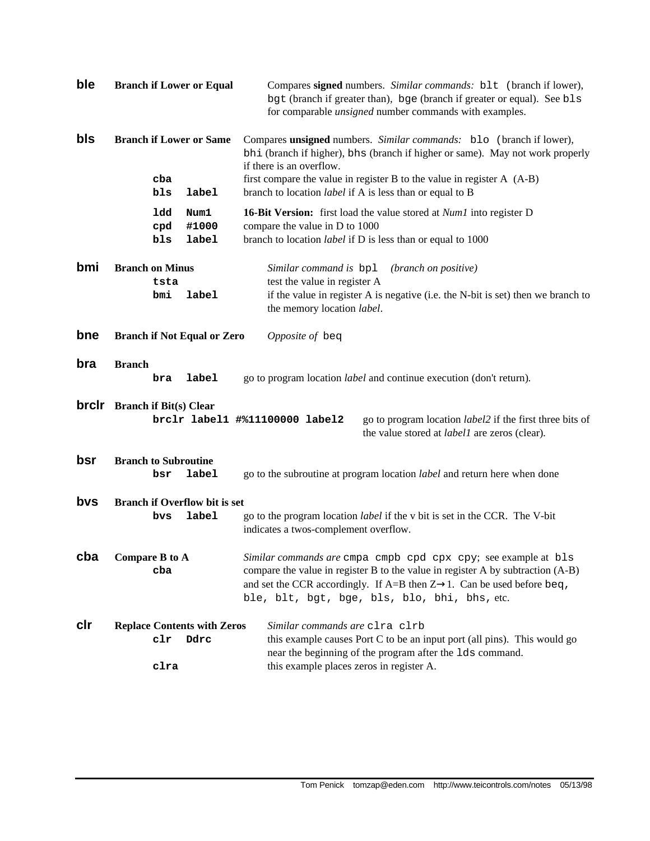| ble          | <b>Branch if Lower or Equal</b>                                                                                                                                                                                                                                                                                           | Compares signed numbers. Similar commands: blt (branch if lower),<br>bgt (branch if greater than), bge (branch if greater or equal). See bls<br>for comparable <i>unsigned</i> number commands with examples. |  |  |  |
|--------------|---------------------------------------------------------------------------------------------------------------------------------------------------------------------------------------------------------------------------------------------------------------------------------------------------------------------------|---------------------------------------------------------------------------------------------------------------------------------------------------------------------------------------------------------------|--|--|--|
| bls          | <b>Branch if Lower or Same</b>                                                                                                                                                                                                                                                                                            | Compares unsigned numbers. Similar commands: blo (branch if lower),<br>bhi (branch if higher), bhs (branch if higher or same). May not work properly<br>if there is an overflow.                              |  |  |  |
|              | cba<br>bls<br>label                                                                                                                                                                                                                                                                                                       | first compare the value in register $B$ to the value in register $A$ (A-B)<br>branch to location <i>label</i> if A is less than or equal to B                                                                 |  |  |  |
|              | 1dd<br>Num1<br>#1000<br>cpd<br>label<br>bls                                                                                                                                                                                                                                                                               | <b>16-Bit Version:</b> first load the value stored at <i>Num1</i> into register D<br>compare the value in D to 1000<br>branch to location <i>label</i> if D is less than or equal to 1000                     |  |  |  |
| bmi          | <b>Branch on Minus</b><br>tsta<br>bmi<br>label                                                                                                                                                                                                                                                                            | Similar command is bpl<br>(branch on positive)<br>test the value in register A<br>if the value in register A is negative (i.e. the N-bit is set) then we branch to                                            |  |  |  |
| bne          | <b>Branch if Not Equal or Zero</b>                                                                                                                                                                                                                                                                                        | the memory location label.<br>Opposite of beq                                                                                                                                                                 |  |  |  |
| bra          | <b>Branch</b><br>label<br>bra                                                                                                                                                                                                                                                                                             | go to program location <i>label</i> and continue execution (don't return).                                                                                                                                    |  |  |  |
| <b>brclr</b> | <b>Branch if Bit(s) Clear</b><br>go to program location label2 if the first three bits of<br>brclr label1 #%11100000 label2<br>the value stored at <i>label1</i> are zeros (clear).                                                                                                                                       |                                                                                                                                                                                                               |  |  |  |
| bsr          | <b>Branch to Subroutine</b><br>label<br>bsr                                                                                                                                                                                                                                                                               | go to the subroutine at program location <i>label</i> and return here when done                                                                                                                               |  |  |  |
| bys          | <b>Branch if Overflow bit is set</b><br>label<br>bvs                                                                                                                                                                                                                                                                      | go to the program location <i>label</i> if the v bit is set in the CCR. The V-bit<br>indicates a twos-complement overflow.                                                                                    |  |  |  |
| cba          | <b>Compare B to A</b><br>Similar commands are cmpa cmpb cpd cpx cpy; see example at bls<br>compare the value in register B to the value in register A by subtraction (A-B)<br>cba<br>and set the CCR accordingly. If A=B then $Z \rightarrow 1$ . Can be used before beg,<br>ble, blt, bgt, bge, bls, blo, bhi, bhs, etc. |                                                                                                                                                                                                               |  |  |  |
| clr          | <b>Replace Contents with Zeros</b><br>$_{\tt clr}$<br>Ddrc                                                                                                                                                                                                                                                                | Similar commands are clra clrb<br>this example causes Port C to be an input port (all pins). This would go<br>near the beginning of the program after the 1ds command.                                        |  |  |  |
|              | this example places zeros in register A.<br>clra                                                                                                                                                                                                                                                                          |                                                                                                                                                                                                               |  |  |  |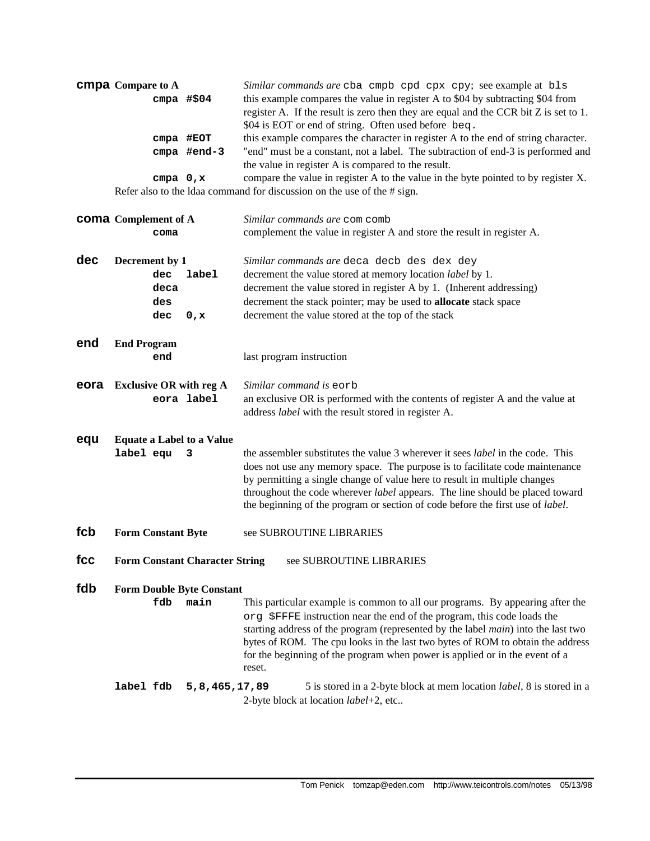| <b>CMDA</b> Compare to A                                                                         |                                                                                               | Similar commands are cba cmpb cpd cpx cpy; see example at bls                        |  |  |  |  |  |
|--------------------------------------------------------------------------------------------------|-----------------------------------------------------------------------------------------------|--------------------------------------------------------------------------------------|--|--|--|--|--|
|                                                                                                  | this example compares the value in register A to \$04 by subtracting \$04 from<br>cmpa $#504$ |                                                                                      |  |  |  |  |  |
|                                                                                                  |                                                                                               | register A. If the result is zero then they are equal and the CCR bit Z is set to 1. |  |  |  |  |  |
|                                                                                                  |                                                                                               | \$04 is EOT or end of string. Often used before beq.                                 |  |  |  |  |  |
| this example compares the character in register A to the end of string character.<br>$cmpa$ #EOT |                                                                                               |                                                                                      |  |  |  |  |  |
|                                                                                                  | cmpa #end-3                                                                                   | "end" must be a constant, not a label. The subtraction of end-3 is performed and     |  |  |  |  |  |
|                                                                                                  |                                                                                               | the value in register A is compared to the result.                                   |  |  |  |  |  |
| $cmpa \t0, x$                                                                                    |                                                                                               | compare the value in register A to the value in the byte pointed to by register X.   |  |  |  |  |  |
|                                                                                                  |                                                                                               | Refer also to the Idaa command for discussion on the use of the $\#$ sign.           |  |  |  |  |  |

|      | <b>coma</b> Complement of A<br>coma                          | Similar commands are com comb<br>complement the value in register A and store the result in register A.                                                                                                                                                                                                                                                                                                                          |  |  |  |
|------|--------------------------------------------------------------|----------------------------------------------------------------------------------------------------------------------------------------------------------------------------------------------------------------------------------------------------------------------------------------------------------------------------------------------------------------------------------------------------------------------------------|--|--|--|
| dec  | Decrement by 1<br>dec<br>label<br>deca<br>des<br>dec<br>0, x | Similar commands are deca decb des dex dey<br>decrement the value stored at memory location label by 1.<br>decrement the value stored in register A by 1. (Inherent addressing)<br>decrement the stack pointer; may be used to allocate stack space<br>decrement the value stored at the top of the stack                                                                                                                        |  |  |  |
| end  | <b>End Program</b><br>end                                    | last program instruction                                                                                                                                                                                                                                                                                                                                                                                                         |  |  |  |
| eora | <b>Exclusive OR with reg A</b><br>eora label                 | Similar command is eorb<br>an exclusive OR is performed with the contents of register A and the value at<br>address label with the result stored in register A.                                                                                                                                                                                                                                                                  |  |  |  |
| equ  | <b>Equate a Label to a Value</b><br>label equ<br>3           | the assembler substitutes the value 3 wherever it sees <i>label</i> in the code. This<br>does not use any memory space. The purpose is to facilitate code maintenance<br>by permitting a single change of value here to result in multiple changes<br>throughout the code wherever label appears. The line should be placed toward<br>the beginning of the program or section of code before the first use of label.             |  |  |  |
| fcb  | <b>Form Constant Byte</b>                                    | see SUBROUTINE LIBRARIES                                                                                                                                                                                                                                                                                                                                                                                                         |  |  |  |
| fcc  | <b>Form Constant Character String</b>                        | see SUBROUTINE LIBRARIES                                                                                                                                                                                                                                                                                                                                                                                                         |  |  |  |
| fdb  | <b>Form Double Byte Constant</b><br>fdb<br>main              | This particular example is common to all our programs. By appearing after the<br>org \$FFFE instruction near the end of the program, this code loads the<br>starting address of the program (represented by the label <i>main</i> ) into the last two<br>bytes of ROM. The cpu looks in the last two bytes of ROM to obtain the address<br>for the beginning of the program when power is applied or in the event of a<br>reset. |  |  |  |
|      | label fdb<br>5,8,465,17,89                                   | 5 is stored in a 2-byte block at mem location label, 8 is stored in a<br>2-byte block at location label+2, etc                                                                                                                                                                                                                                                                                                                   |  |  |  |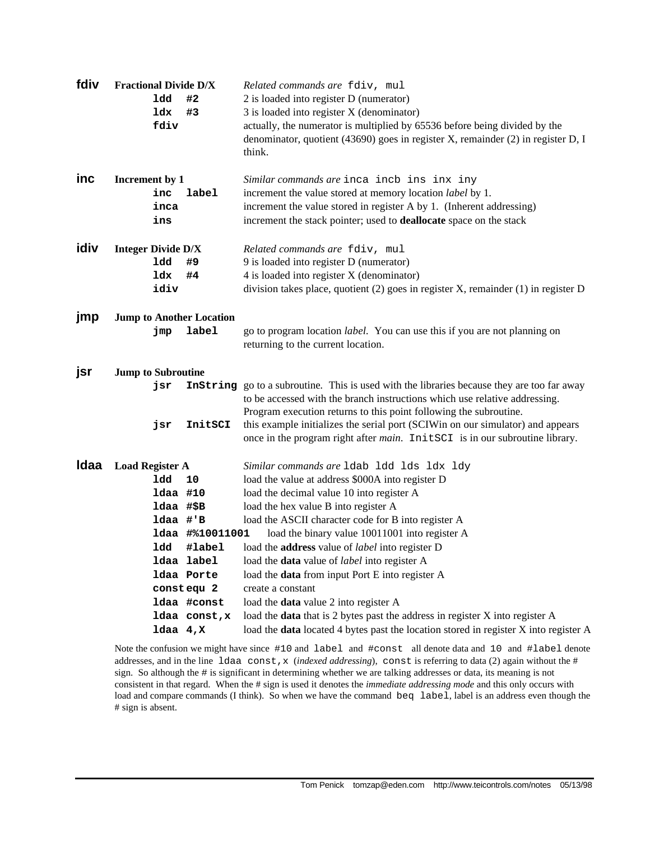| fdiv |                           | <b>Fractional Divide D/X</b>    | Related commands are fdiv, mul                                                                                                                                                                                                                |
|------|---------------------------|---------------------------------|-----------------------------------------------------------------------------------------------------------------------------------------------------------------------------------------------------------------------------------------------|
|      | ldd                       | #2                              | 2 is loaded into register D (numerator)                                                                                                                                                                                                       |
|      | ldx                       | #3                              | 3 is loaded into register X (denominator)                                                                                                                                                                                                     |
|      |                           | fdiv                            | actually, the numerator is multiplied by 65536 before being divided by the                                                                                                                                                                    |
|      |                           |                                 | denominator, quotient (43690) goes in register X, remainder (2) in register D, I                                                                                                                                                              |
|      |                           |                                 | think.                                                                                                                                                                                                                                        |
| inc  | Increment by 1            |                                 | Similar commands are inca incb ins inx iny                                                                                                                                                                                                    |
|      |                           | label<br>inc                    | increment the value stored at memory location label by 1.                                                                                                                                                                                     |
|      |                           | inca                            | increment the value stored in register A by 1. (Inherent addressing)                                                                                                                                                                          |
|      | ins                       |                                 | increment the stack pointer; used to <b>deallocate</b> space on the stack                                                                                                                                                                     |
| idiv | <b>Integer Divide D/X</b> |                                 | Related commands are fdiv, mul                                                                                                                                                                                                                |
|      | ldd                       | #9                              | 9 is loaded into register D (numerator)                                                                                                                                                                                                       |
|      | ldx                       | #4                              | 4 is loaded into register X (denominator)                                                                                                                                                                                                     |
|      |                           | idiv                            | division takes place, quotient (2) goes in register X, remainder (1) in register D                                                                                                                                                            |
| jmp  |                           | <b>Jump to Another Location</b> |                                                                                                                                                                                                                                               |
|      | jmp                       | <b>label</b>                    | go to program location <i>label</i> . You can use this if you are not planning on                                                                                                                                                             |
|      |                           |                                 | returning to the current location.                                                                                                                                                                                                            |
| jsr  | <b>Jump to Subroutine</b> |                                 |                                                                                                                                                                                                                                               |
|      | jsr                       |                                 | Instring go to a subroutine. This is used with the libraries because they are too far away<br>to be accessed with the branch instructions which use relative addressing.<br>Program execution returns to this point following the subroutine. |
|      | jsr                       | InitSCI                         | this example initializes the serial port (SCIWin on our simulator) and appears                                                                                                                                                                |
|      |                           |                                 | once in the program right after <i>main</i> . InitSCI is in our subroutine library.                                                                                                                                                           |
| Idaa | <b>Load Register A</b>    |                                 | Similar commands are 1dab 1dd 1ds 1dx 1dy                                                                                                                                                                                                     |
|      |                           | ldd<br>10                       | load the value at address \$000A into register D                                                                                                                                                                                              |
|      |                           | 1daa #10                        | load the decimal value 10 into register A                                                                                                                                                                                                     |
|      |                           | ldaa #\$B                       | load the hex value B into register A                                                                                                                                                                                                          |
|      |                           | ldaa #'B                        | load the ASCII character code for B into register A                                                                                                                                                                                           |
|      |                           | ldaa #%10011001                 | load the binary value 10011001 into register A                                                                                                                                                                                                |
|      |                           | ldd<br>#label                   | load the address value of label into register D                                                                                                                                                                                               |
|      |                           | ldaa label                      | load the <b>data</b> value of <i>label</i> into register A                                                                                                                                                                                    |
|      |                           | ldaa Porte                      | load the data from input Port E into register A                                                                                                                                                                                               |
|      |                           | constequ <sub>2</sub>           | create a constant                                                                                                                                                                                                                             |
|      |                           | ldaa #const                     | load the data value 2 into register A                                                                                                                                                                                                         |
|      |                           | ldaa const, x                   | load the data that is 2 bytes past the address in register X into register A                                                                                                                                                                  |
|      |                           | $1daa$ 4, $x$                   | load the data located 4 bytes past the location stored in register X into register A                                                                                                                                                          |

Note the confusion we might have since #10 and label and #const all denote data and 10 and #label denote addresses, and in the line ldaa const,x (*indexed addressing*), const is referring to data (2) again without the # sign. So although the # is significant in determining whether we are talking addresses or data, its meaning is not consistent in that regard. When the # sign is used it denotes the *immediate addressing mode* and this only occurs with load and compare commands (I think). So when we have the command beq label, label is an address even though the # sign is absent.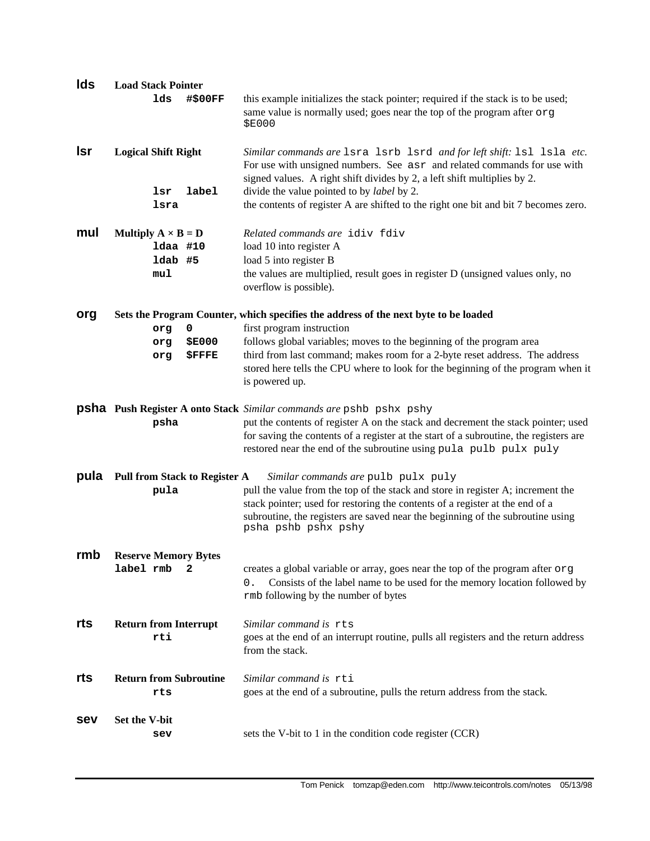| Ids        | <b>Load Stack Pointer</b>                                      |                                                                                                                                                                                                                                                                                                                                                                               |
|------------|----------------------------------------------------------------|-------------------------------------------------------------------------------------------------------------------------------------------------------------------------------------------------------------------------------------------------------------------------------------------------------------------------------------------------------------------------------|
|            | #\$00FF<br>lds                                                 | this example initializes the stack pointer; required if the stack is to be used;<br>same value is normally used; goes near the top of the program after org<br><b>\$E000</b>                                                                                                                                                                                                  |
| <b>Isr</b> | <b>Logical Shift Right</b><br>label<br>lsr<br>lsra             | Similar commands are 1sra 1srb 1srd and for left shift: 1s1 1s1a etc.<br>For use with unsigned numbers. See asr and related commands for use with<br>signed values. A right shift divides by 2, a left shift multiplies by 2.<br>divide the value pointed to by <i>label</i> by 2.<br>the contents of register A are shifted to the right one bit and bit 7 becomes zero.     |
| mul        | Multiply $A \times B = D$<br>1daa #10<br>1dab #5<br>mu1        | Related commands are idiv fdiv<br>load 10 into register A<br>load 5 into register B<br>the values are multiplied, result goes in register D (unsigned values only, no<br>overflow is possible).                                                                                                                                                                               |
| org        | 0<br>org<br><b>\$E000</b><br>org<br><b><i>SFFFE</i></b><br>org | Sets the Program Counter, which specifies the address of the next byte to be loaded<br>first program instruction<br>follows global variables; moves to the beginning of the program area<br>third from last command; makes room for a 2-byte reset address. The address<br>stored here tells the CPU where to look for the beginning of the program when it<br>is powered up. |
|            | psha                                                           | <b>psha</b> Push Register A onto Stack Similar commands are pshb pshx pshy<br>put the contents of register A on the stack and decrement the stack pointer; used<br>for saving the contents of a register at the start of a subroutine, the registers are<br>restored near the end of the subroutine using pula pulb pulx puly                                                 |
| pula       | <b>Pull from Stack to Register A</b><br>pula                   | Similar commands are pulb pulx puly<br>pull the value from the top of the stack and store in register A; increment the<br>stack pointer; used for restoring the contents of a register at the end of a<br>subroutine, the registers are saved near the beginning of the subroutine using<br>psha pshb pshx pshy                                                               |
| rmb        | <b>Reserve Memory Bytes</b><br>label rmb<br>2                  | creates a global variable or array, goes near the top of the program after org<br>Consists of the label name to be used for the memory location followed by<br>0.<br>rmb following by the number of bytes                                                                                                                                                                     |
| rts        | <b>Return from Interrupt</b><br>rti                            | Similar command is rts<br>goes at the end of an interrupt routine, pulls all registers and the return address<br>from the stack.                                                                                                                                                                                                                                              |
| rts        | <b>Return from Subroutine</b><br>rts                           | Similar command is rti<br>goes at the end of a subroutine, pulls the return address from the stack.                                                                                                                                                                                                                                                                           |
| sev        | Set the V-bit<br>sev                                           | sets the V-bit to 1 in the condition code register (CCR)                                                                                                                                                                                                                                                                                                                      |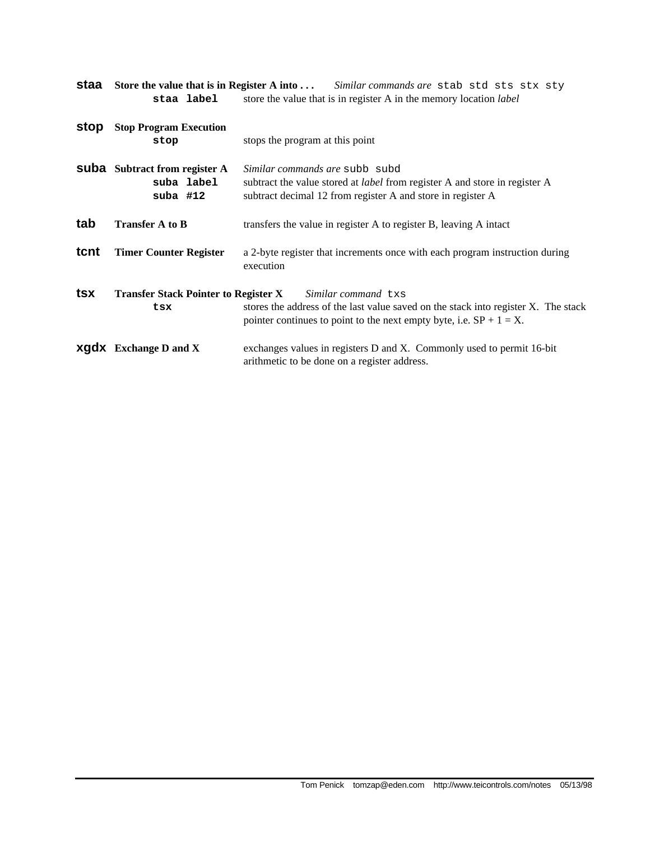| staa | staa label                                                       | Store the value that is in Register A into  Similar commands are stab std sts stx sty<br>store the value that is in register A in the memory location <i>label</i>                  |  |  |  |  |  |
|------|------------------------------------------------------------------|-------------------------------------------------------------------------------------------------------------------------------------------------------------------------------------|--|--|--|--|--|
| stop | <b>Stop Program Execution</b><br>stop                            | stops the program at this point                                                                                                                                                     |  |  |  |  |  |
|      | <b>Suba</b> Subtract from register A<br>suba label<br>suba $#12$ | Similar commands are subb subd<br>subtract the value stored at <i>label</i> from register A and store in register A<br>subtract decimal 12 from register A and store in register A  |  |  |  |  |  |
| tab  | <b>Transfer A to B</b>                                           | transfers the value in register A to register B, leaving A intact                                                                                                                   |  |  |  |  |  |
| tcnt | <b>Timer Counter Register</b>                                    | a 2-byte register that increments once with each program instruction during<br>execution                                                                                            |  |  |  |  |  |
| tsx  | <b>Transfer Stack Pointer to Register X</b><br>tsx               | Similar command txs<br>stores the address of the last value saved on the stack into register X. The stack<br>pointer continues to point to the next empty byte, i.e. $SP + 1 = X$ . |  |  |  |  |  |
|      | <b>XGdX</b> Exchange D and X                                     | exchanges values in registers D and X. Commonly used to permit 16-bit<br>arithmetic to be done on a register address.                                                               |  |  |  |  |  |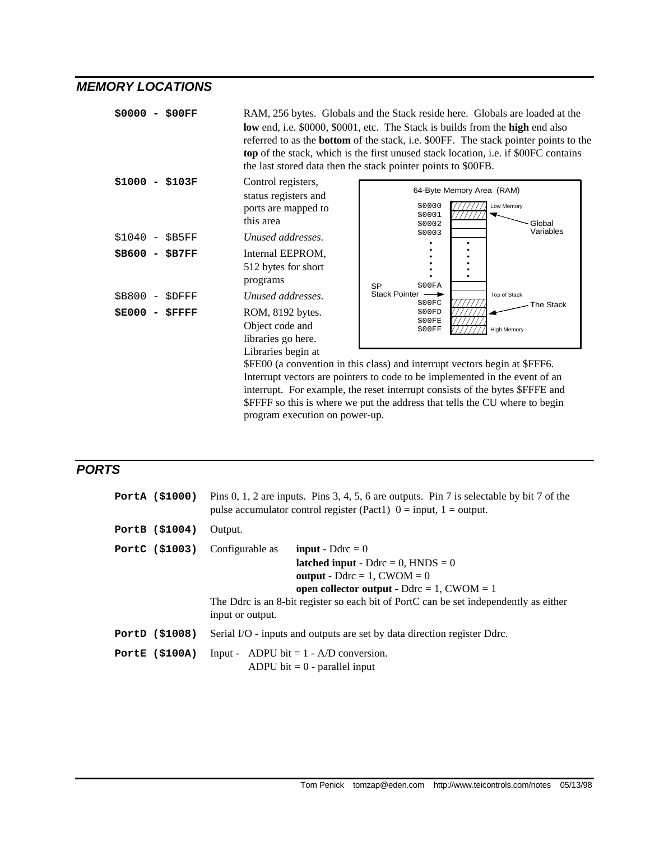### *MEMORY LOCATIONS*

| \$0000 - \$00FF |                                                                                 | RAM, 256 bytes. Globals and the Stack reside here. Globals are loaded at the<br>low end, i.e. \$0000, \$0001, etc. The Stack is builds from the high end also<br>referred to as the <b>bottom</b> of the stack, i.e. \$00FF. The stack pointer points to the<br>top of the stack, which is the first unused stack location, <i>i.e.</i> if \$00FC contains<br>the last stored data then the stack pointer points to \$00FB. |
|-----------------|---------------------------------------------------------------------------------|-----------------------------------------------------------------------------------------------------------------------------------------------------------------------------------------------------------------------------------------------------------------------------------------------------------------------------------------------------------------------------------------------------------------------------|
| \$1000 - \$103F | Control registers,<br>status registers and<br>ports are mapped to<br>this area  | 64-Byte Memory Area (RAM)<br>\$0000<br>Low Memory<br>\$0001<br>\$0002<br>Global                                                                                                                                                                                                                                                                                                                                             |
| $$1040 - $B5FF$ | Unused addresses.                                                               | Variables<br>\$0003                                                                                                                                                                                                                                                                                                                                                                                                         |
| \$B600 - \$B7FF | Internal EEPROM,<br>512 bytes for short<br>programs                             | \$00FA<br><b>SP</b>                                                                                                                                                                                                                                                                                                                                                                                                         |
| $$B800 - $DFFF$ | Unused addresses.                                                               | Stack Pointer -<br>Top of Stack<br>\$00FC                                                                                                                                                                                                                                                                                                                                                                                   |
| $$E000 - $FFFF$ | ROM, 8192 bytes.<br>Object code and<br>libraries go here.<br>Libraries begin at | The Stack<br>\$00FD<br>\$00FE<br>\$00FF<br><b>High Memory</b><br>\$FE00 (a convention in this class) and interrupt vectors begin at \$FFF6.                                                                                                                                                                                                                                                                                 |

Interrupt vectors are pointers to code to be implemented in the event of an interrupt. For example, the reset interrupt consists of the bytes \$FFFE and \$FFFF so this is where we put the address that tells the CU where to begin program execution on power-up.

### *PORTS*

| PortA (\$1000)  | Pins 0, 1, 2 are inputs. Pins 3, 4, 5, 6 are outputs. Pin 7 is selectable by bit 7 of the<br>pulse accumulator control register (Pact1) $0 = input$ , $1 = output$ .                                                                                                                                                                |
|-----------------|-------------------------------------------------------------------------------------------------------------------------------------------------------------------------------------------------------------------------------------------------------------------------------------------------------------------------------------|
| PortB (\$1004)  | Output.                                                                                                                                                                                                                                                                                                                             |
| PortC (\$1003)  | Configurable as<br><b>input</b> - Ddrc $= 0$<br><b>latched input</b> - Ddrc = 0, $HNDS = 0$<br>output - $\text{D} \text{d} \text{r} \text{c} = 1$ , $\text{CWOM} = 0$<br>open collector output - $D$ drc = 1, CWOM = 1<br>The Ddrc is an 8-bit register so each bit of PortC can be set independently as either<br>input or output. |
| PortD (\$1008)  | Serial I/O - inputs and outputs are set by data direction register Ddrc.                                                                                                                                                                                                                                                            |
| PortE $(S100A)$ | Input - ADPU bit $= 1 - A/D$ conversion.<br>ADPU bit $= 0$ - parallel input                                                                                                                                                                                                                                                         |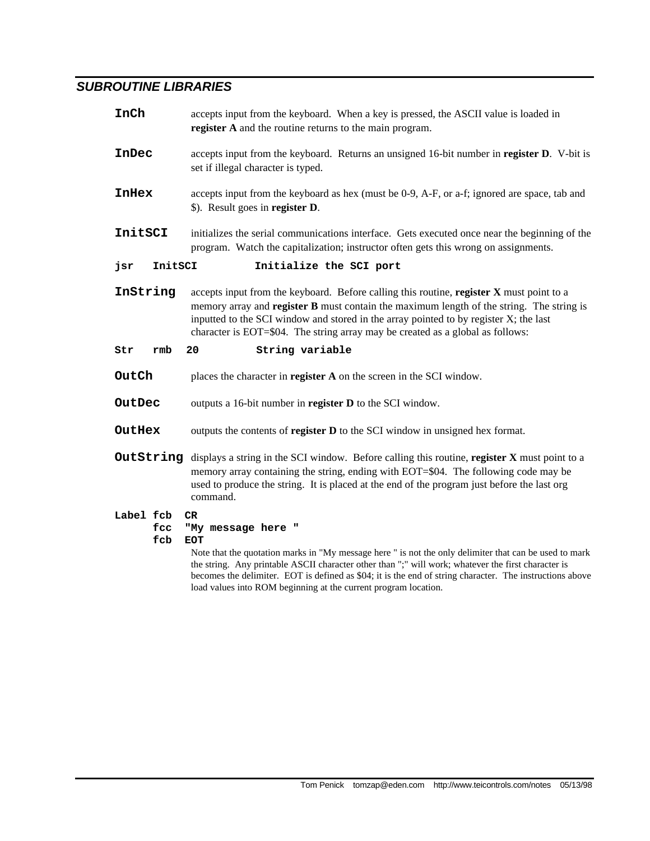## *SUBROUTINE LIBRARIES*

| InCh         |            | accepts input from the keyboard. When a key is pressed, the ASCII value is loaded in<br>register A and the routine returns to the main program.                                                                                                                                                                                                                                                                                        |  |  |  |
|--------------|------------|----------------------------------------------------------------------------------------------------------------------------------------------------------------------------------------------------------------------------------------------------------------------------------------------------------------------------------------------------------------------------------------------------------------------------------------|--|--|--|
| InDec        |            | accepts input from the keyboard. Returns an unsigned 16-bit number in register D. V-bit is<br>set if illegal character is typed.                                                                                                                                                                                                                                                                                                       |  |  |  |
| <b>InHex</b> |            | accepts input from the keyboard as hex (must be 0-9, A-F, or a-f; ignored are space, tab and<br>\$). Result goes in register D.                                                                                                                                                                                                                                                                                                        |  |  |  |
| InitSCI      |            | initializes the serial communications interface. Gets executed once near the beginning of the<br>program. Watch the capitalization; instructor often gets this wrong on assignments.                                                                                                                                                                                                                                                   |  |  |  |
| jsr          | InitSCI    | Initialize the SCI port                                                                                                                                                                                                                                                                                                                                                                                                                |  |  |  |
| InString     |            | accepts input from the keyboard. Before calling this routine, register X must point to a<br>memory array and <b>register B</b> must contain the maximum length of the string. The string is<br>inputted to the SCI window and stored in the array pointed to by register X; the last<br>character is EOT=\$04. The string array may be created as a global as follows:                                                                 |  |  |  |
| Str          | rmb        | 20<br>String variable                                                                                                                                                                                                                                                                                                                                                                                                                  |  |  |  |
| OutCh        |            | places the character in register A on the screen in the SCI window.                                                                                                                                                                                                                                                                                                                                                                    |  |  |  |
| OutDec       |            | outputs a 16-bit number in register D to the SCI window.                                                                                                                                                                                                                                                                                                                                                                               |  |  |  |
| OutHex       |            | outputs the contents of register D to the SCI window in unsigned hex format.                                                                                                                                                                                                                                                                                                                                                           |  |  |  |
|              |            | OutString displays a string in the SCI window. Before calling this routine, register X must point to a<br>memory array containing the string, ending with EOT=\$04. The following code may be<br>used to produce the string. It is placed at the end of the program just before the last org<br>command.                                                                                                                               |  |  |  |
| Label fcb    | fcc<br>fcb | CR.<br>"My message here "<br><b>EOT</b><br>Note that the quotation marks in "My message here" is not the only delimiter that can be used to mark<br>the string. Any printable ASCII character other than ";" will work; whatever the first character is<br>becomes the delimiter. EOT is defined as \$04; it is the end of string character. The instructions above<br>load values into ROM beginning at the current program location. |  |  |  |